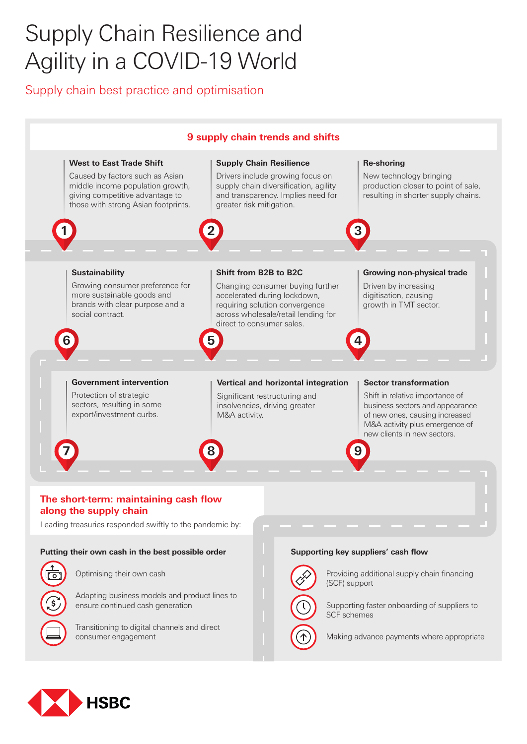## Supply Chain Resilience and Agility in a COVID-19 World

Supply chain best practice and optimisation